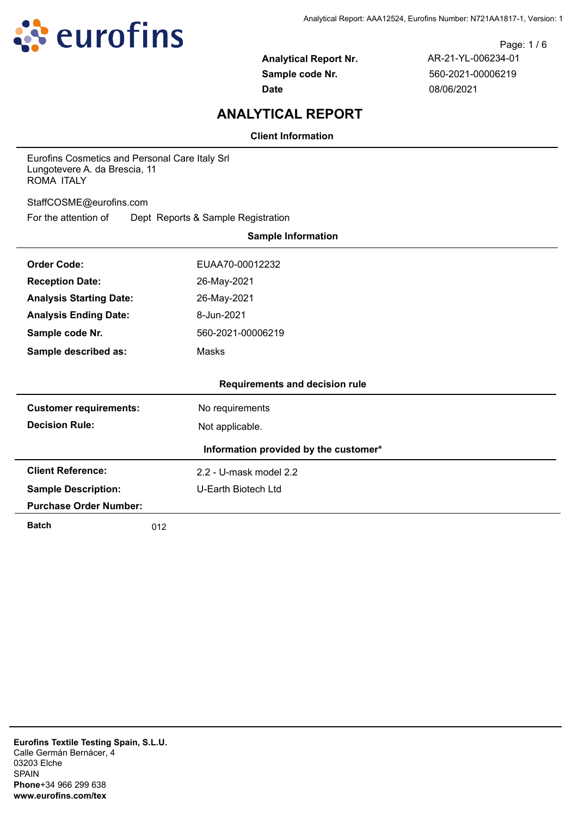

Page: 1 / 6 **Analytical Report Nr.** AR-21-YL-006234-01 **Sample code Nr.** 560-2021-00006219 **Date** 08/06/2021

# **ANALYTICAL REPORT**

**Client Information**

Eurofins Cosmetics and Personal Care Italy Srl Lungotevere A. da Brescia, 11 ROMA ITALY

StaffCOSME@eurofins.com

For the attention of Dept Reports & Sample Registration

| <b>Sample Information</b>                          |                     |  |  |  |  |
|----------------------------------------------------|---------------------|--|--|--|--|
| <b>Order Code:</b>                                 | EUAA70-00012232     |  |  |  |  |
| <b>Reception Date:</b>                             | 26-May-2021         |  |  |  |  |
| <b>Analysis Starting Date:</b>                     | 26-May-2021         |  |  |  |  |
| <b>Analysis Ending Date:</b>                       | 8-Jun-2021          |  |  |  |  |
| Sample code Nr.                                    | 560-2021-00006219   |  |  |  |  |
| Sample described as:                               | Masks               |  |  |  |  |
|                                                    |                     |  |  |  |  |
| <b>Requirements and decision rule</b>              |                     |  |  |  |  |
| <b>Customer requirements:</b><br>No requirements   |                     |  |  |  |  |
| <b>Decision Rule:</b><br>Not applicable.           |                     |  |  |  |  |
| Information provided by the customer*              |                     |  |  |  |  |
| <b>Client Reference:</b><br>2.2 - U-mask model 2.2 |                     |  |  |  |  |
| <b>Sample Description:</b>                         | U-Earth Biotech Ltd |  |  |  |  |
| <b>Purchase Order Number:</b>                      |                     |  |  |  |  |
| <b>Batch</b>                                       | 012                 |  |  |  |  |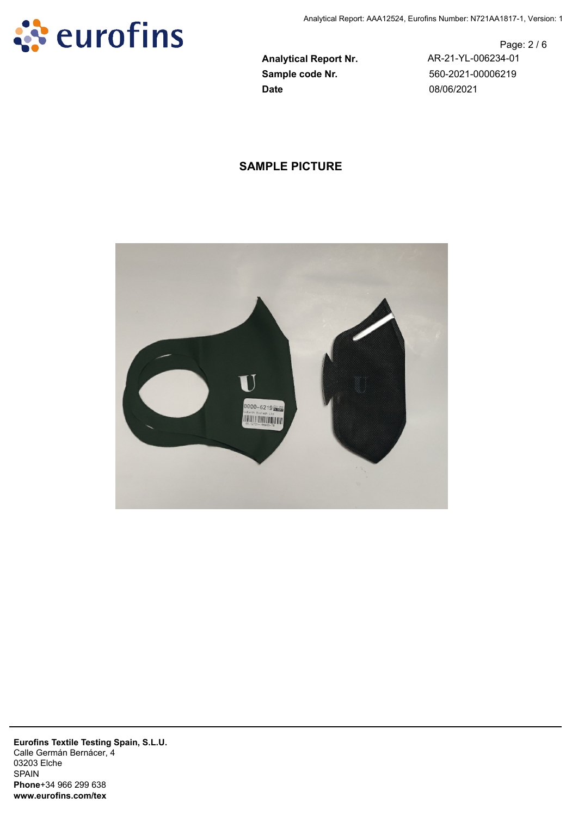

**Sample code Nr.** 560-2021-00006219 **Date** 08/06/2021

Page: 2 / 6 **Analytical Report Nr.** AR-21-YL-006234-01

## **SAMPLE PICTURE**

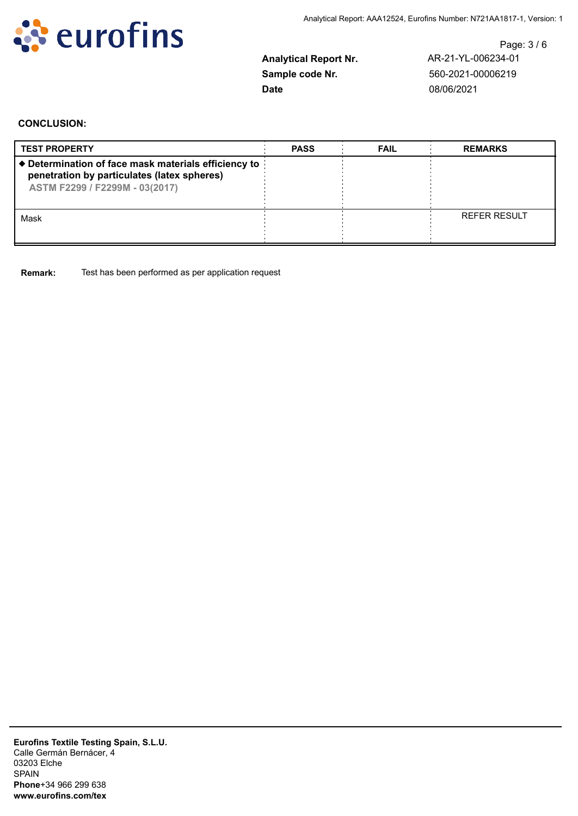

**Date** 08/06/2021

Page: 3 / 6 **Analytical Report Nr.** AR-21-YL-006234-01 **Sample code Nr.** 560-2021-00006219

#### **CONCLUSION:**

| <b>TEST PROPERTY</b>                                                                                                                  | <b>PASS</b> | <b>FAIL</b> | <b>REMARKS</b>      |
|---------------------------------------------------------------------------------------------------------------------------------------|-------------|-------------|---------------------|
| ♦ Determination of face mask materials efficiency to<br>penetration by particulates (latex spheres)<br>ASTM F2299 / F2299M - 03(2017) |             |             |                     |
| Mask                                                                                                                                  |             |             | <b>REFER RESULT</b> |

**Remark:** Test has been performed as per application request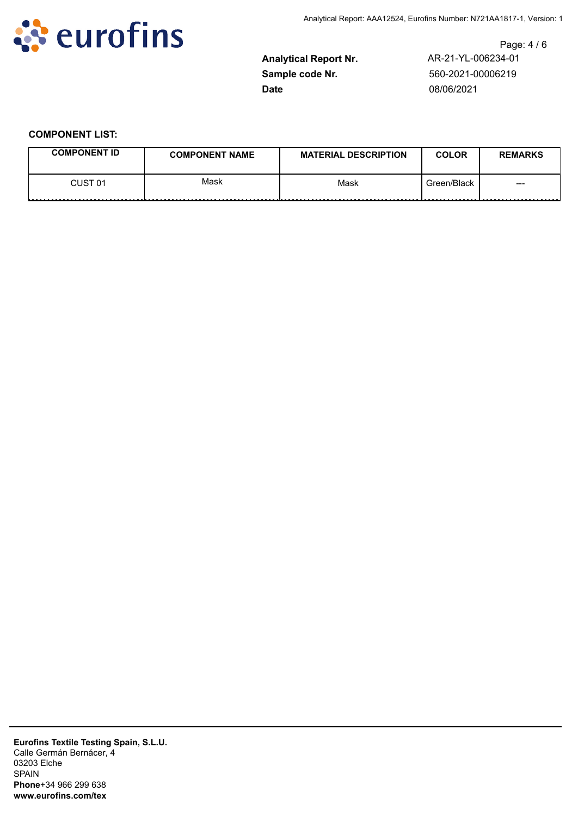

**Date** 08/06/2021

Page: 4 / 6 **Analytical Report Nr.** AR-21-YL-006234-01 **Sample code Nr.** 560-2021-00006219

### **COMPONENT LIST:**

| <b>COMPONENT ID</b> | <b>COMPONENT NAME</b> | <b>MATERIAL DESCRIPTION</b> | <b>COLOR</b> | <b>REMARKS</b> |
|---------------------|-----------------------|-----------------------------|--------------|----------------|
| CUST 01<br>.        | Mask<br>.             | Mask                        | Green/Black  | ---            |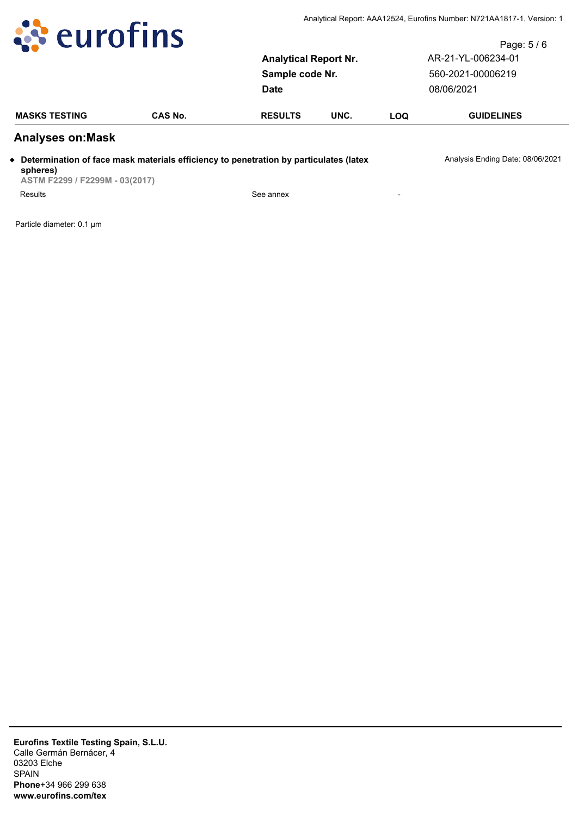

|                       | Page: $5/6$        |
|-----------------------|--------------------|
| Analytical Report Nr. | AR-21-YL-006234-01 |
| Sample code Nr.       | 560-2021-00006219  |
| Date                  | 08/06/2021         |
|                       |                    |

| <b>MASKS TESTING</b> | ີ AS No. | <b>RESULTS</b> | UNC. | LOQ | <b>GUIDELINES</b> |
|----------------------|----------|----------------|------|-----|-------------------|
|                      |          |                |      |     |                   |

### **Analyses on:Mask**

◆ Determination of face mask materials efficiency to penetration by particulates (latex Analysis Ending Date: 08/06/2021

**spheres) ASTM F2299 / F2299M - 03(2017)** Results See annex Fesults<br>Particle diameter: 0.1 μm<br>Particle diameter: 0.1 μm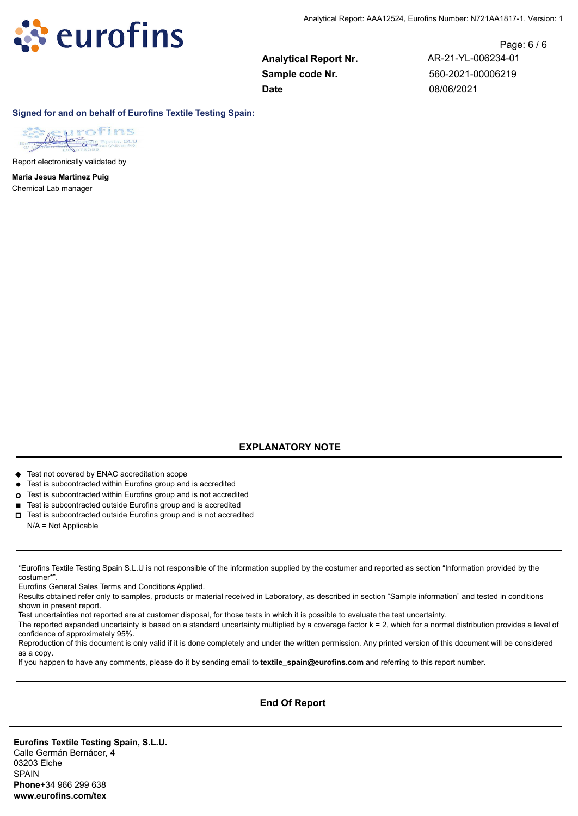

**Sample code Nr.** 560-2021-00006219 **Date** 08/06/2021

Page: 6 / 6 **Analytical Report Nr.** AR-21-YL-006234-01

**Signed for and on behalf of Eurofins Textile Testing Spain:**



Report electronically validated by

Chemical Lab manager **Maria Jesus Martinez Puig**

### **EXPLANATORY NOTE**

◆ Test not covered by ENAC accreditation scope

- l Test is subcontracted within Eurofins group and is accredited
- ¢ Test is subcontracted within Eurofins group and is not accredited
- Test is subcontracted outside Eurofins group and is accredited
- $\Box$  Test is subcontracted outside Eurofins group and is not accredited N/A = Not Applicable

\*Eurofins Textile Testing Spain S.L.U is not responsible of the information supplied by the costumer and reported as section "Information provided by the costumer\*".

Eurofins General Sales Terms and Conditions Applied.

Results obtained refer only to samples, products or material received in Laboratory, as described in section "Sample information" and tested in conditions shown in present report.

Test uncertainties not reported are at customer disposal, for those tests in which it is possible to evaluate the test uncertainty.

The reported expanded uncertainty is based on a standard uncertainty multiplied by a coverage factor k = 2, which for a normal distribution provides a level of confidence of approximately 95%.

Reproduction of this document is only valid if it is done completely and under the written permission. Any printed version of this document will be considered as a copy.

If you happen to have any comments, please do it by sending email to **textile\_spain@eurofins.com** and referring to this report number.

#### **End Of Report**

**Eurofins Textile Testing Spain, S.L.U.** Calle Germán Bernácer, 4 03203 Elche SPAIN **Phone**+34 966 299 638 **www.eurofins.com/tex**